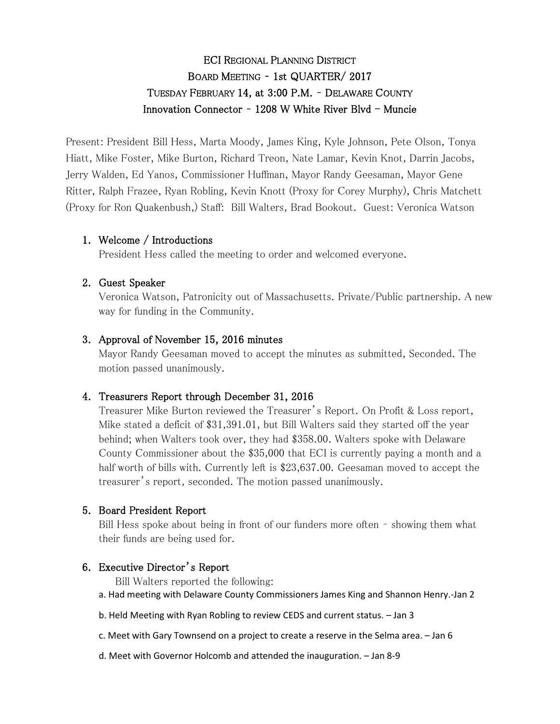# ECI REGIONAL PLANNING DISTRICT BOARD MEETING – 1st QUARTER/ 2017 TUESDAY FEBRUARY 14, at 3:00 P.M. – DELAWARE COUNTY Innovation Connector -  $1208$  W White River Blvd - Muncie

Present: President Bill Hess, Marta Moody, James King, Kyle Johnson, Pete Olson, Tonya Hiatt, Mike Foster, Mike Burton, Richard Treon, Nate Lamar, Kevin Knot, Darrin Jacobs, Jerry Walden, Ed Yanos, Commissioner Huffman, Mayor Randy Geesaman, Mayor Gene Ritter, Ralph Frazee, Ryan Robling, Kevin Knott (Proxy for Corey Murphy), Chris Matchett (Proxy for Ron Quakenbush,) Staff: Bill Walters, Brad Bookout. Guest: Veronica Watson

### 1. Welcome / Introductions

President Hess called the meeting to order and welcomed everyone.

# 2. Guest Speaker

Veronica Watson, Patronicity out of Massachusetts. Private/Public partnership. A new way for funding in the Community.

### 3. Approval of November 15, 2016 minutes

Mayor Randy Geesaman moved to accept the minutes as submitted, Seconded. The motion passed unanimously.

# 4. Treasurers Report through December 31, 2016

Treasurer Mike Burton reviewed the Treasurer's Report. On Profit & Loss report, Mike stated a deficit of \$31,391.01, but Bill Walters said they started off the year behind; when Walters took over, they had \$358.00. Walters spoke with Delaware County Commissioner about the \$35,000 that ECI is currently paying a month and a half worth of bills with. Currently left is \$23,637.00. Geesaman moved to accept the treasurer's report, seconded. The motion passed unanimously.

#### 5. Board President Report

Bill Hess spoke about being in front of our funders more often – showing them what their funds are being used for.

# 6. Executive Director's Report

Bill Walters reported the following:

- a. Had meeting with Delaware County Commissioners James King and Shannon Henry.-Jan 2
- b. Held Meeting with Ryan Robling to review CEDS and current status. Jan 3
- c. Meet with Gary Townsend on a project to create a reserve in the Selma area. Jan 6
- d. Meet with Governor Holcomb and attended the inauguration. Jan 8-9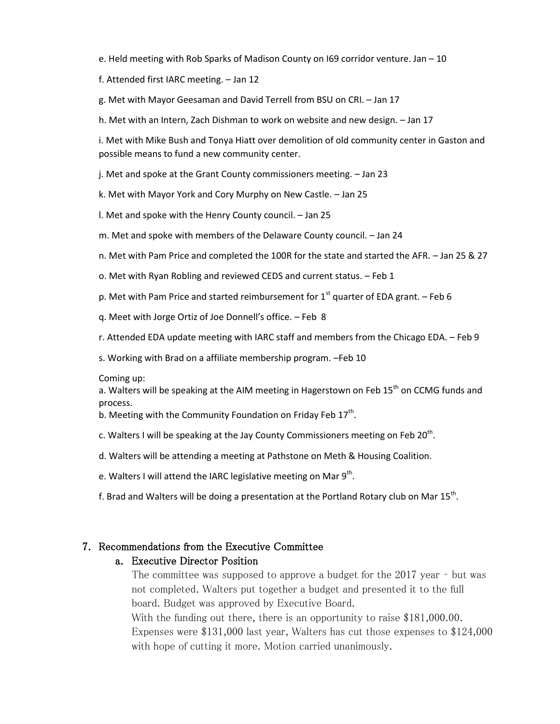e. Held meeting with Rob Sparks of Madison County on I69 corridor venture. Jan – 10

f. Attended first IARC meeting. – Jan 12

g. Met with Mayor Geesaman and David Terrell from BSU on CRI. – Jan 17

h. Met with an Intern, Zach Dishman to work on website and new design. – Jan 17

i. Met with Mike Bush and Tonya Hiatt over demolition of old community center in Gaston and possible means to fund a new community center.

j. Met and spoke at the Grant County commissioners meeting. – Jan 23

k. Met with Mayor York and Cory Murphy on New Castle. – Jan 25

l. Met and spoke with the Henry County council. – Jan 25

m. Met and spoke with members of the Delaware County council. – Jan 24

n. Met with Pam Price and completed the 100R for the state and started the AFR. – Jan 25 & 27

o. Met with Ryan Robling and reviewed CEDS and current status. – Feb 1

p. Met with Pam Price and started reimbursement for  $1<sup>st</sup>$  quarter of EDA grant. – Feb 6

q. Meet with Jorge Ortiz of Joe Donnell's office. – Feb 8

r. Attended EDA update meeting with IARC staff and members from the Chicago EDA. – Feb 9

s. Working with Brad on a affiliate membership program. –Feb 10

Coming up:

a. Walters will be speaking at the AIM meeting in Hagerstown on Feb  $15<sup>th</sup>$  on CCMG funds and process.

b. Meeting with the Community Foundation on Friday Feb 17<sup>th</sup>.

c. Walters I will be speaking at the Jay County Commissioners meeting on Feb 20<sup>th</sup>.

d. Walters will be attending a meeting at Pathstone on Meth & Housing Coalition.

e. Walters I will attend the IARC legislative meeting on Mar 9<sup>th</sup>.

f. Brad and Walters will be doing a presentation at the Portland Rotary club on Mar 15<sup>th</sup>.

#### 7. Recommendations from the Executive Committee

#### a. Executive Director Position

The committee was supposed to approve a budget for the 2017 year – but was not completed. Walters put together a budget and presented it to the full board. Budget was approved by Executive Board. With the funding out there, there is an opportunity to raise \$181,000.00. Expenses were \$131,000 last year, Walters has cut those expenses to \$124,000 with hope of cutting it more. Motion carried unanimously.